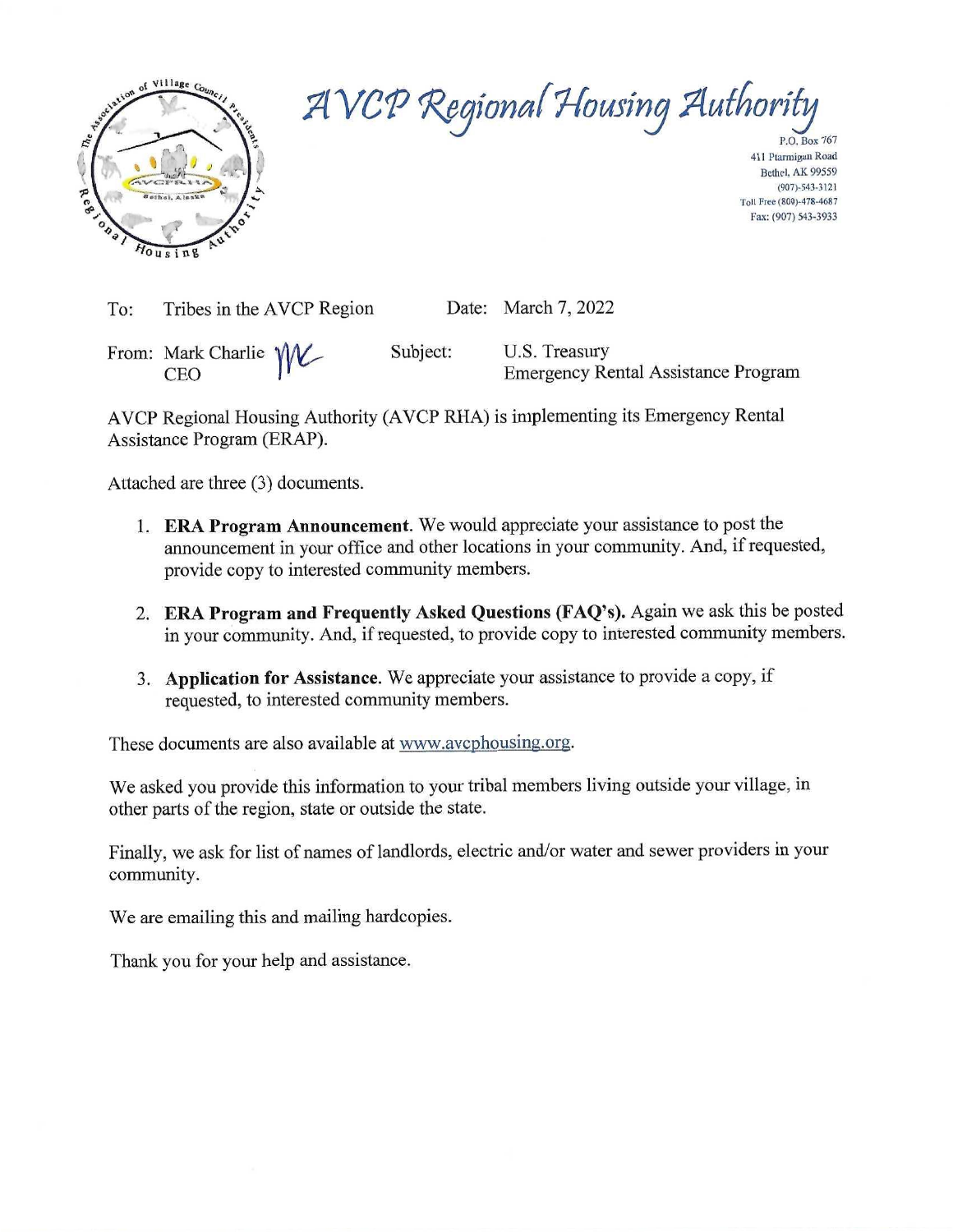

AVCP Regional Housing Authority

P.O. Box 767 411 Ptarmigan Road Bethel AK 99559  $(907) - 543 - 3121$ Toll Free (800)-478-4687 Fax: (907) 543-3933

| To: | Tribes in the AVCP Region           |          | Date: March 7, 2022                                         |
|-----|-------------------------------------|----------|-------------------------------------------------------------|
|     | From: Mark Charlie WV<br><b>CEO</b> | Subject: | U.S. Treasury<br><b>Emergency Rental Assistance Program</b> |

AVCP Regional Housing Authority (AVCP RHA) is implementing its Emergency Rental Assistance Program (ERAP).

Attached are three (3) documents.

- 1. ERA Program Announcement. We would appreciate your assistance to post the announcement in your office and other locations in your community. And, if requested, provide copy to interested community members.
- 2. ERA Program and Frequently Asked Questions (FAQ's). Again we ask this be posted in your community. And, if requested, to provide copy to interested community members.
- 3. Application for Assistance. We appreciate your assistance to provide a copy, if requested, to interested community members.

These documents are also available at www.avcphousing.org.

We asked you provide this information to your tribal members living outside your village, in other parts of the region, state or outside the state.

Finally, we ask for list of names of landlords, electric and/or water and sewer providers in your community.

We are emailing this and mailing hardcopies.

Thank you for your help and assistance.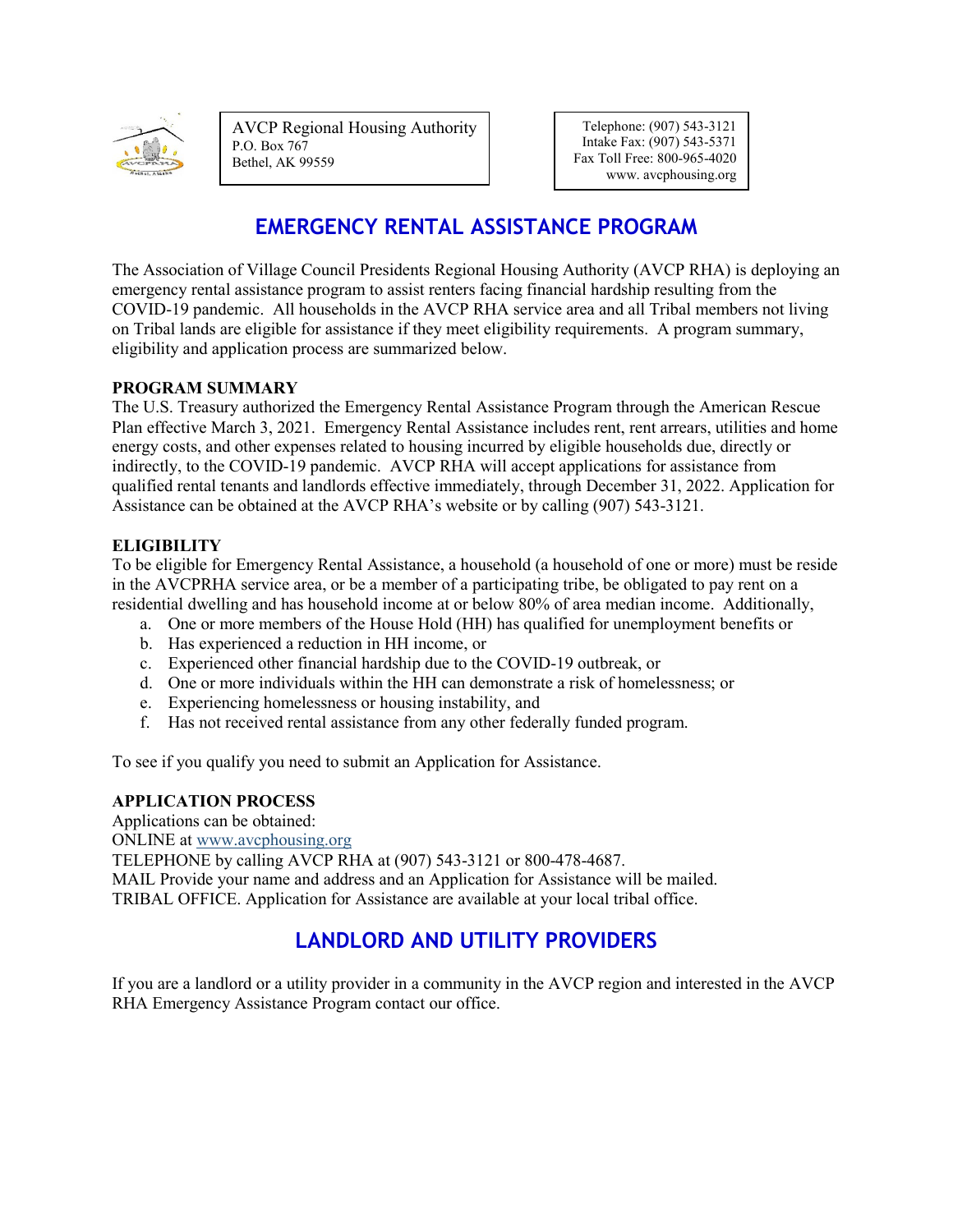

AVCP Regional Housing Authority P.O. Box 767 Bethel, AK 99559

Telephone: (907) 543-3121 Intake Fax: (907) 543-5371 Fax Toll Free: 800-965-4020 www. avcphousing.org

# **EMERGENCY RENTAL ASSISTANCE PROGRAM**

The Association of Village Council Presidents Regional Housing Authority (AVCP RHA) is deploying an emergency rental assistance program to assist renters facing financial hardship resulting from the COVID-19 pandemic. All households in the AVCP RHA service area and all Tribal members not living on Tribal lands are eligible for assistance if they meet eligibility requirements. A program summary, eligibility and application process are summarized below.

### **PROGRAM SUMMARY**

The U.S. Treasury authorized the Emergency Rental Assistance Program through the American Rescue Plan effective March 3, 2021. Emergency Rental Assistance includes rent, rent arrears, utilities and home energy costs, and other expenses related to housing incurred by eligible households due, directly or indirectly, to the COVID-19 pandemic. AVCP RHA will accept applications for assistance from qualified rental tenants and landlords effective immediately, through December 31, 2022. Application for Assistance can be obtained at the AVCP RHA's website or by calling (907) 543-3121.

### **ELIGIBILITY**

To be eligible for Emergency Rental Assistance, a household (a household of one or more) must be reside in the AVCPRHA service area, or be a member of a participating tribe, be obligated to pay rent on a residential dwelling and has household income at or below 80% of area median income. Additionally,

- a. One or more members of the House Hold (HH) has qualified for unemployment benefits or
- b. Has experienced a reduction in HH income, or
- c. Experienced other financial hardship due to the COVID-19 outbreak, or
- d. One or more individuals within the HH can demonstrate a risk of homelessness; or
- e. Experiencing homelessness or housing instability, and
- f. Has not received rental assistance from any other federally funded program.

To see if you qualify you need to submit an Application for Assistance.

### **APPLICATION PROCESS**

Applications can be obtained:

ONLINE at [www.avcphousing.org](http://www.avcphousing.org/)

TELEPHONE by calling AVCP RHA at (907) 543-3121 or 800-478-4687. MAIL Provide your name and address and an Application for Assistance will be mailed. TRIBAL OFFICE. Application for Assistance are available at your local tribal office.

# **LANDLORD AND UTILITY PROVIDERS**

If you are a landlord or a utility provider in a community in the AVCP region and interested in the AVCP RHA Emergency Assistance Program contact our office.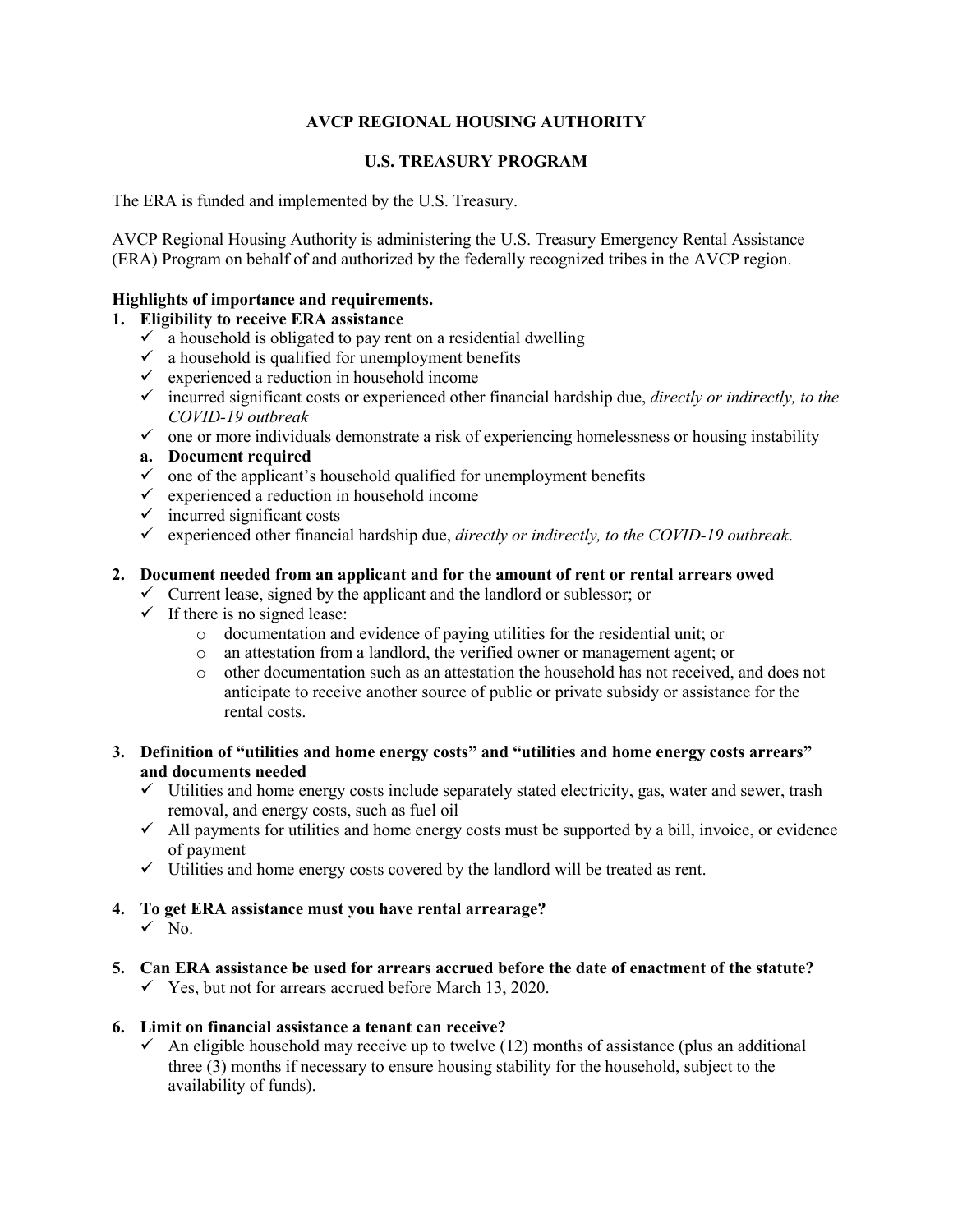### **AVCP REGIONAL HOUSING AUTHORITY**

#### **U.S. TREASURY PROGRAM**

The ERA is funded and implemented by the U.S. Treasury.

AVCP Regional Housing Authority is administering the U.S. Treasury Emergency Rental Assistance (ERA) Program on behalf of and authorized by the federally recognized tribes in the AVCP region.

#### **Highlights of importance and requirements.**

### **1. Eligibility to receive ERA assistance**

- $\checkmark$  a household is obligated to pay rent on a residential dwelling
- $\checkmark$  a household is qualified for unemployment benefits
- $\checkmark$  experienced a reduction in household income
- incurred significant costs or experienced other financial hardship due, *directly or indirectly, to the COVID-19 outbreak*
- $\checkmark$  one or more individuals demonstrate a risk of experiencing homelessness or housing instability
- **a. Document required**
- $\checkmark$  one of the applicant's household qualified for unemployment benefits
- $\checkmark$  experienced a reduction in household income
- $\checkmark$  incurred significant costs
- $\checkmark$  experienced other financial hardship due, *directly or indirectly, to the COVID-19 outbreak.*

### **2. Document needed from an applicant and for the amount of rent or rental arrears owed**

- $\checkmark$  Current lease, signed by the applicant and the landlord or sublessor; or
- $\checkmark$  If there is no signed lease:
	- o documentation and evidence of paying utilities for the residential unit; or
	- o an attestation from a landlord, the verified owner or management agent; or
	- o other documentation such as an attestation the household has not received, and does not anticipate to receive another source of public or private subsidy or assistance for the rental costs.
- **3. Definition of "utilities and home energy costs" and "utilities and home energy costs arrears" and documents needed**
	- $\checkmark$  Utilities and home energy costs include separately stated electricity, gas, water and sewer, trash removal, and energy costs, such as fuel oil
	- $\checkmark$  All payments for utilities and home energy costs must be supported by a bill, invoice, or evidence of payment
	- $\checkmark$  Utilities and home energy costs covered by the landlord will be treated as rent.
- **4. To get ERA assistance must you have rental arrearage?**  $\sqrt{N_{0}}$ .
- **5. Can ERA assistance be used for arrears accrued before the date of enactment of the statute?**
	- $\checkmark$  Yes, but not for arrears accrued before March 13, 2020.

#### **6. Limit on financial assistance a tenant can receive?**

 $\checkmark$  An eligible household may receive up to twelve (12) months of assistance (plus an additional three (3) months if necessary to ensure housing stability for the household, subject to the availability of funds).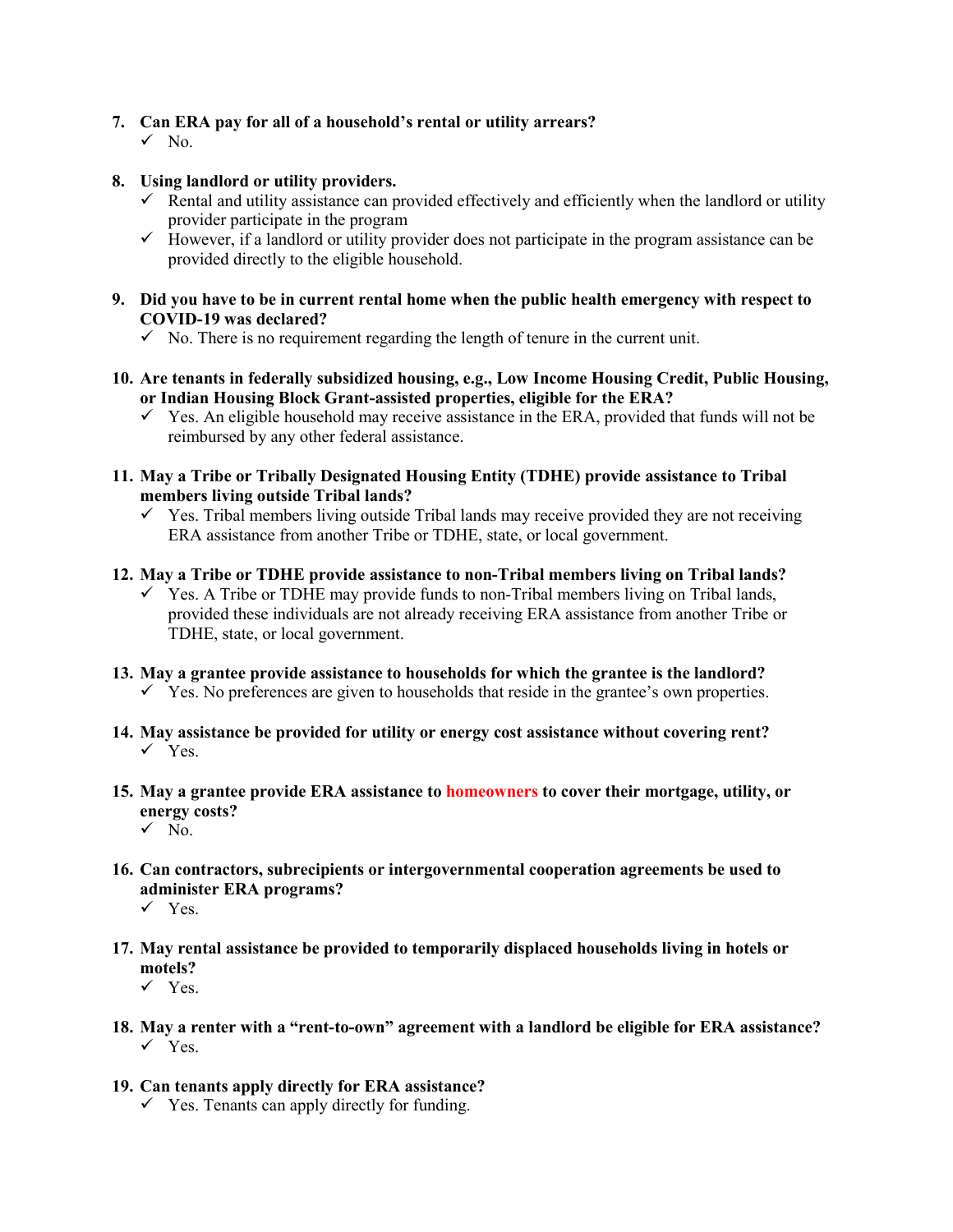### **7. Can ERA pay for all of a household's rental or utility arrears?**

- $\sqrt{N_0}$ .
- **8. Using landlord or utility providers.**
	- $\checkmark$  Rental and utility assistance can provided effectively and efficiently when the landlord or utility provider participate in the program
	- $\checkmark$  However, if a landlord or utility provider does not participate in the program assistance can be provided directly to the eligible household.
- **9. Did you have to be in current rental home when the public health emergency with respect to COVID-19 was declared?**
	- $\checkmark$  No. There is no requirement regarding the length of tenure in the current unit.
- **10. Are tenants in federally subsidized housing, e.g., Low Income Housing Credit, Public Housing, or Indian Housing Block Grant-assisted properties, eligible for the ERA?**
	- $\checkmark$  Yes. An eligible household may receive assistance in the ERA, provided that funds will not be reimbursed by any other federal assistance.
- **11. May a Tribe or Tribally Designated Housing Entity (TDHE) provide assistance to Tribal members living outside Tribal lands?**
	- $\checkmark$  Yes. Tribal members living outside Tribal lands may receive provided they are not receiving ERA assistance from another Tribe or TDHE, state, or local government.
- **12. May a Tribe or TDHE provide assistance to non-Tribal members living on Tribal lands?**
	- $\checkmark$  Yes. A Tribe or TDHE may provide funds to non-Tribal members living on Tribal lands, provided these individuals are not already receiving ERA assistance from another Tribe or TDHE, state, or local government.
- **13. May a grantee provide assistance to households for which the grantee is the landlord?**  $\checkmark$  Yes. No preferences are given to households that reside in the grantee's own properties.
- **14. May assistance be provided for utility or energy cost assistance without covering rent?**  $\checkmark$  Yes.
- **15. May a grantee provide ERA assistance to homeowners to cover their mortgage, utility, or energy costs?**
	- $\sqrt{N_{0}}$ .
- **16. Can contractors, subrecipients or intergovernmental cooperation agreements be used to administer ERA programs?**
	- $\checkmark$  Yes.
- **17. May rental assistance be provided to temporarily displaced households living in hotels or motels?**
	- $\checkmark$  Yes.
- **18. May a renter with a "rent-to-own" agreement with a landlord be eligible for ERA assistance?**  $\checkmark$  Yes.
- **19. Can tenants apply directly for ERA assistance?**
	- $\checkmark$  Yes. Tenants can apply directly for funding.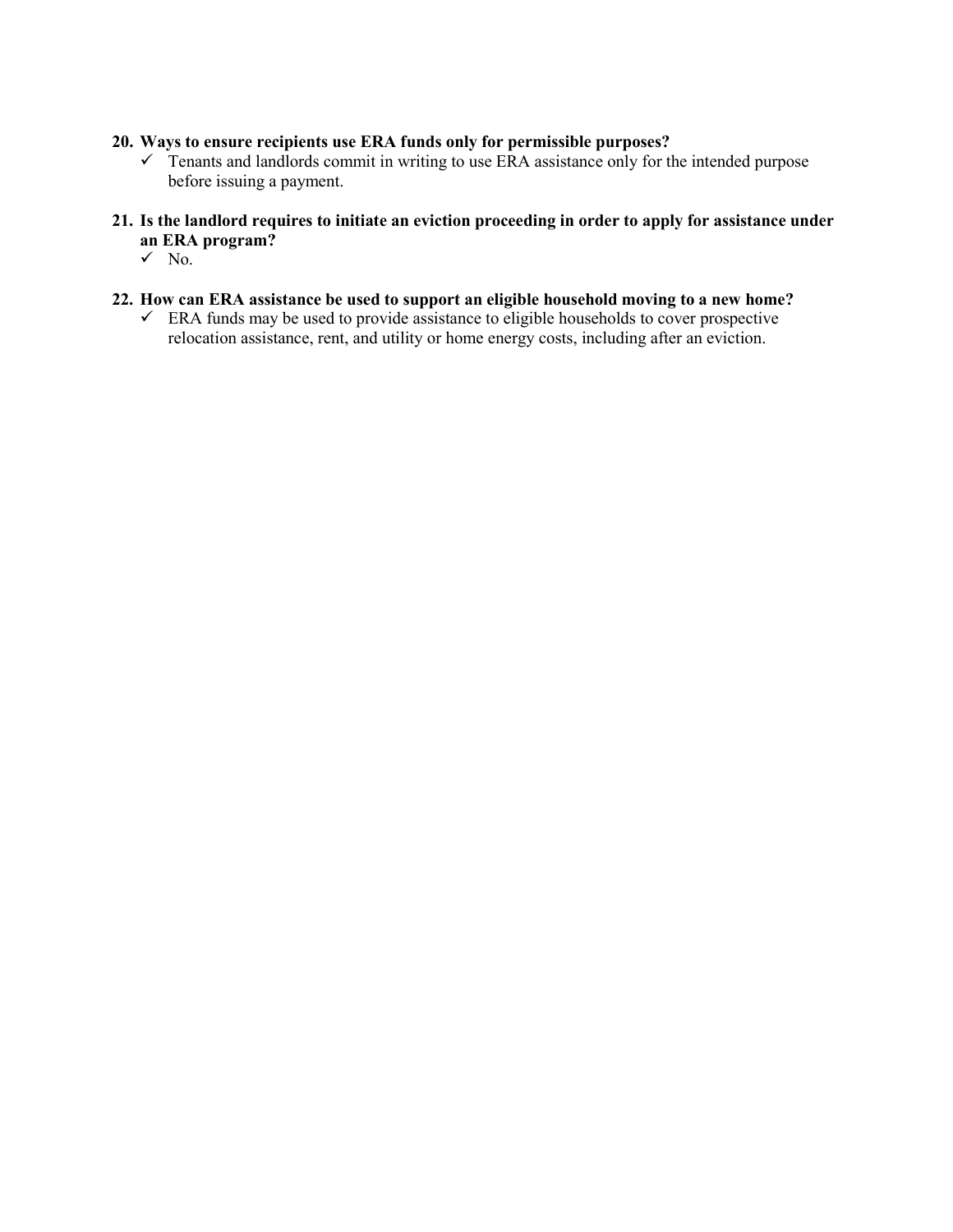### **20. Ways to ensure recipients use ERA funds only for permissible purposes?**

- $\checkmark$  Tenants and landlords commit in writing to use ERA assistance only for the intended purpose before issuing a payment.
- **21. Is the landlord requires to initiate an eviction proceeding in order to apply for assistance under an ERA program?**
	- $\sqrt{N_{0}}$ .
- **22. How can ERA assistance be used to support an eligible household moving to a new home?**
	- $\checkmark$  ERA funds may be used to provide assistance to eligible households to cover prospective relocation assistance, rent, and utility or home energy costs, including after an eviction.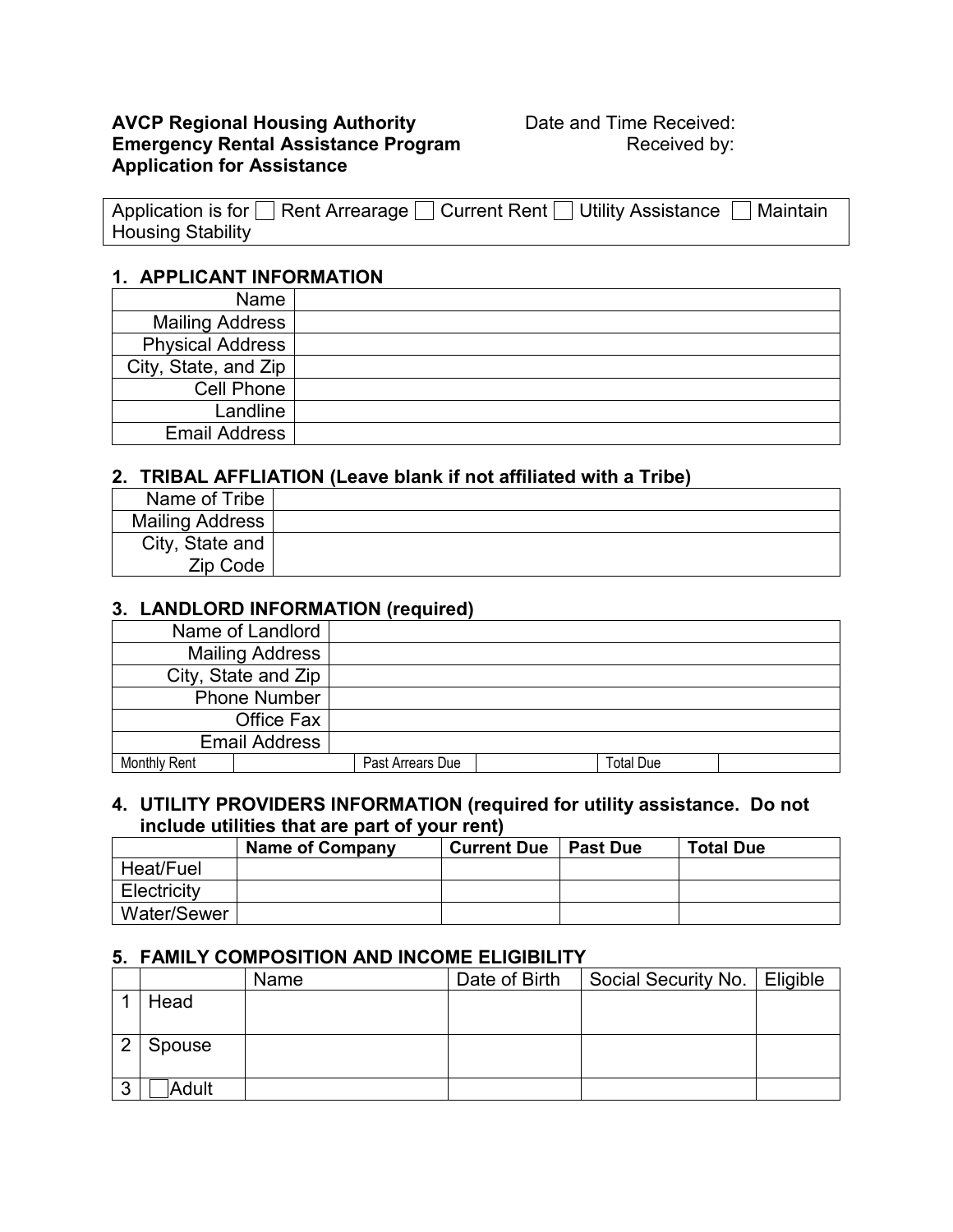### **AVCP Regional Housing Authority <b>Date and Time Received: Emergency Rental Assistance Program** Received by: **Application for Assistance**

| Application is for □ Rent Arrearage □ Current Rent □ Utility Assistance □ Maintain |  |
|------------------------------------------------------------------------------------|--|
| <b>Housing Stability</b>                                                           |  |

### **1. APPLICANT INFORMATION**

| Name                    |  |
|-------------------------|--|
| <b>Mailing Address</b>  |  |
| <b>Physical Address</b> |  |
| City, State, and Zip    |  |
| Cell Phone              |  |
| Landline                |  |
| <b>Email Address</b>    |  |

## **2. TRIBAL AFFLIATION (Leave blank if not affiliated with a Tribe)**

| Name of Tribe   |  |
|-----------------|--|
| Mailing Address |  |
| City, State and |  |
| Zip Code        |  |

### **3. LANDLORD INFORMATION (required)**

| Name of Landlord       |  |                  |                  |  |
|------------------------|--|------------------|------------------|--|
| <b>Mailing Address</b> |  |                  |                  |  |
| City, State and Zip    |  |                  |                  |  |
| <b>Phone Number</b>    |  |                  |                  |  |
| Office Fax             |  |                  |                  |  |
| <b>Email Address</b>   |  |                  |                  |  |
| <b>Monthly Rent</b>    |  | Past Arrears Due | <b>Total Due</b> |  |

### **4. UTILITY PROVIDERS INFORMATION (required for utility assistance. Do not include utilities that are part of your rent)**

|                    | <b>Name of Company</b> | <b>Current Due</b> | <b>Past Due</b> | <b>Total Due</b> |
|--------------------|------------------------|--------------------|-----------------|------------------|
| Heat/Fuel          |                        |                    |                 |                  |
| Electricity        |                        |                    |                 |                  |
| <b>Water/Sewer</b> |                        |                    |                 |                  |

### **5. FAMILY COMPOSITION AND INCOME ELIGIBILITY**

|   |        | Name | Date of Birth | Social Security No.   Eligible |  |
|---|--------|------|---------------|--------------------------------|--|
|   | Head   |      |               |                                |  |
|   |        |      |               |                                |  |
| റ | Spouse |      |               |                                |  |
|   |        |      |               |                                |  |
| 3 | Adult  |      |               |                                |  |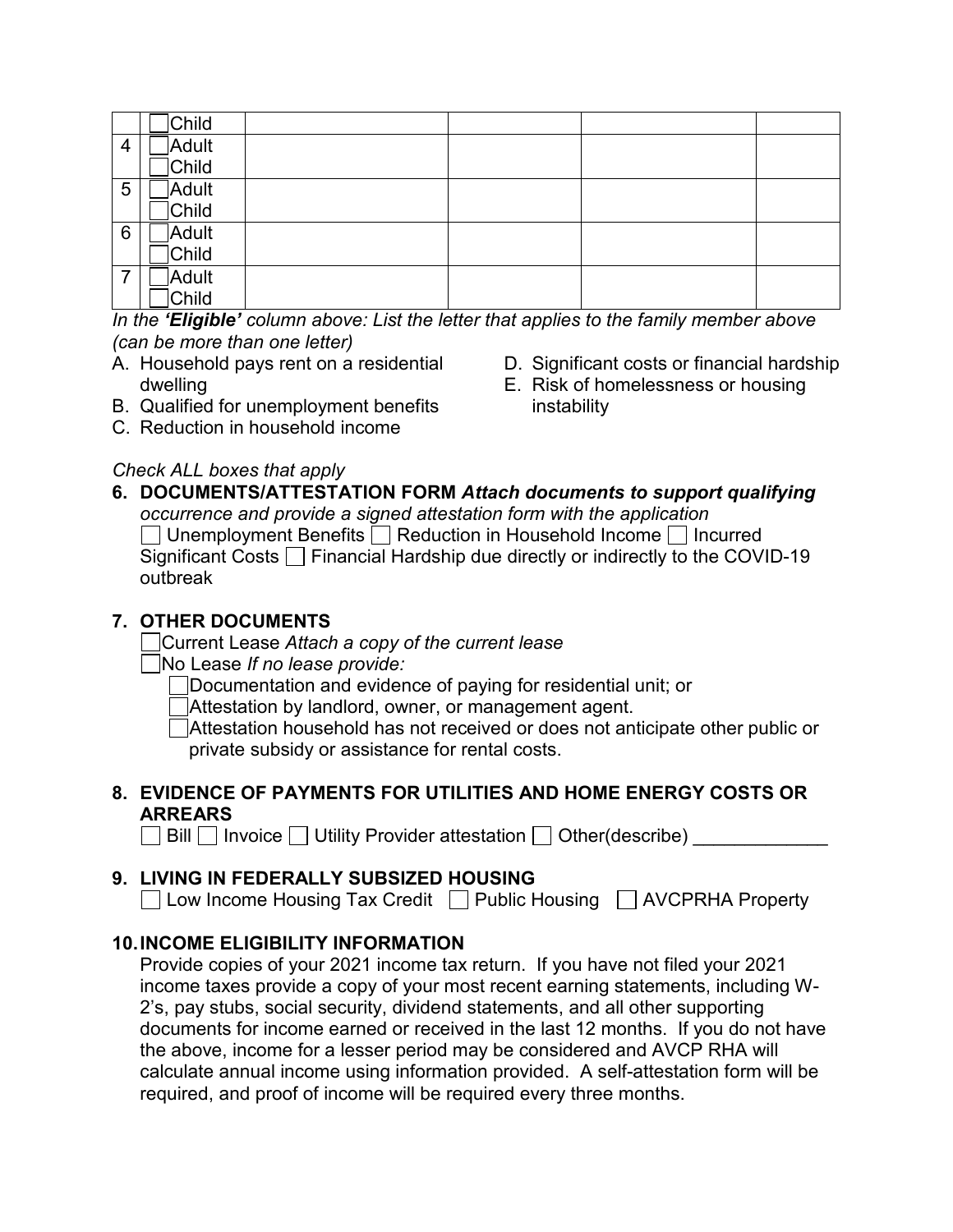|   | Child        |  |  |
|---|--------------|--|--|
| 4 | <b>Adult</b> |  |  |
|   | Child        |  |  |
| 5 | Adult        |  |  |
|   | Child        |  |  |
| 6 | Adult        |  |  |
|   | Child        |  |  |
| 7 | Adult        |  |  |
|   | Child        |  |  |

*In the 'Eligible' column above: List the letter that applies to the family member above (can be more than one letter)*

- A. Household pays rent on a residential dwelling
- B. Qualified for unemployment benefits
- C. Reduction in household income

# *Check ALL boxes that apply*

- D. Significant costs or financial hardship
- E. Risk of homelessness or housing instability
- **6. DOCUMENTS/ATTESTATION FORM** *Attach documents to support qualifying occurrence and provide a signed attestation form with the application*   $\Box$  Unemployment Benefits  $\Box$  Reduction in Household Income  $\Box$  Incurred Significant Costs  $\Box$  Financial Hardship due directly or indirectly to the COVID-19 outbreak

# **7. OTHER DOCUMENTS**

Current Lease *Attach a copy of the current lease*

No Lease *If no lease provide:*

Documentation and evidence of paying for residential unit; or

Attestation by landlord, owner, or management agent.

Attestation household has not received or does not anticipate other public or private subsidy or assistance for rental costs.

# **8. EVIDENCE OF PAYMENTS FOR UTILITIES AND HOME ENERGY COSTS OR ARREARS**

 $\Box$  Bill  $\Box$  Invoice  $\Box$  Utility Provider attestation  $\Box$  Other(describe)

# **9. LIVING IN FEDERALLY SUBSIZED HOUSING**

 $\Box$  Low Income Housing Tax Credit  $\Box$  Public Housing  $\Box$  AVCPRHA Property

# **10.INCOME ELIGIBILITY INFORMATION**

Provide copies of your 2021 income tax return. If you have not filed your 2021 income taxes provide a copy of your most recent earning statements, including W-2's, pay stubs, social security, dividend statements, and all other supporting documents for income earned or received in the last 12 months. If you do not have the above, income for a lesser period may be considered and AVCP RHA will calculate annual income using information provided. A self-attestation form will be required, and proof of income will be required every three months.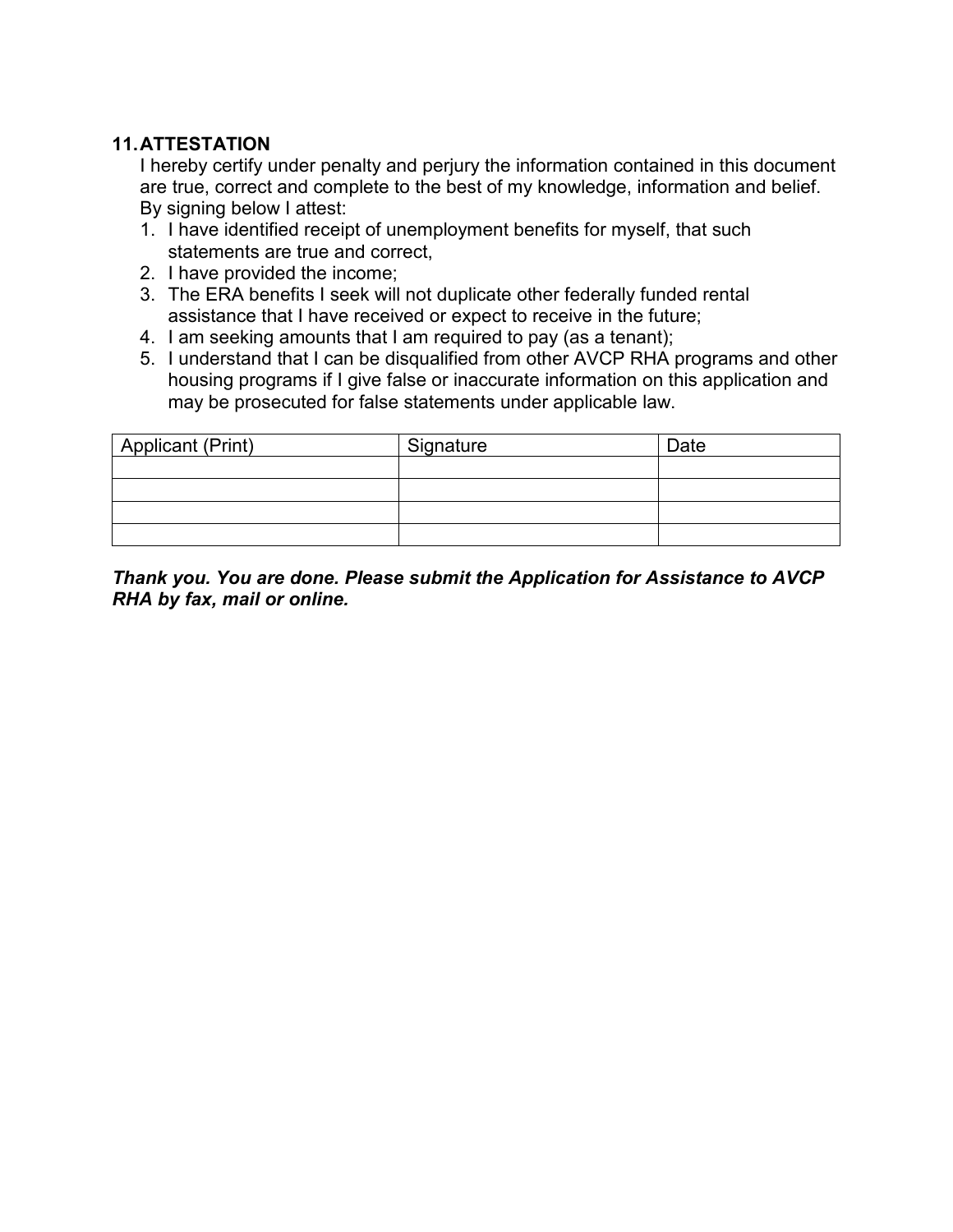# **11.ATTESTATION**

I hereby certify under penalty and perjury the information contained in this document are true, correct and complete to the best of my knowledge, information and belief. By signing below I attest:

- 1. I have identified receipt of unemployment benefits for myself, that such statements are true and correct,
- 2. I have provided the income;
- 3. The ERA benefits I seek will not duplicate other federally funded rental assistance that I have received or expect to receive in the future;
- 4. I am seeking amounts that I am required to pay (as a tenant);
- 5. I understand that I can be disqualified from other AVCP RHA programs and other housing programs if I give false or inaccurate information on this application and may be prosecuted for false statements under applicable law.

| Applicant (Print) | Signature | Date |
|-------------------|-----------|------|
|                   |           |      |
|                   |           |      |
|                   |           |      |
|                   |           |      |

*Thank you. You are done. Please submit the Application for Assistance to AVCP RHA by fax, mail or online.*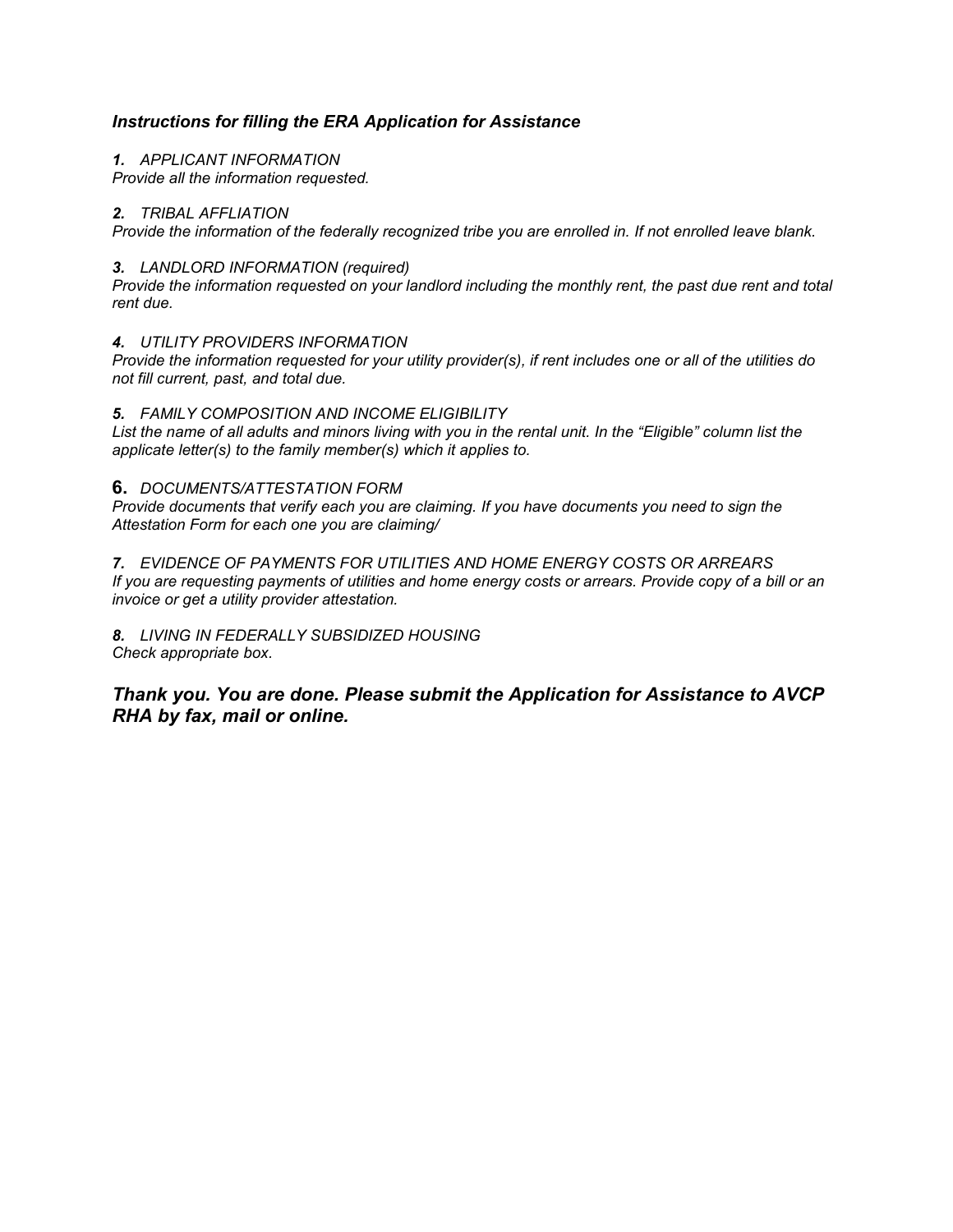### *Instructions for filling the ERA Application for Assistance*

#### *1. APPLICANT INFORMATION*

*Provide all the information requested.*

#### *2. TRIBAL AFFLIATION*

*Provide the information of the federally recognized tribe you are enrolled in. If not enrolled leave blank.*

#### *3. LANDLORD INFORMATION (required)*

*Provide the information requested on your landlord including the monthly rent, the past due rent and total rent due.*

#### *4. UTILITY PROVIDERS INFORMATION*

*Provide the information requested for your utility provider(s), if rent includes one or all of the utilities do not fill current, past, and total due.*

#### *5. FAMILY COMPOSITION AND INCOME ELIGIBILITY*

*List the name of all adults and minors living with you in the rental unit. In the "Eligible" column list the applicate letter(s) to the family member(s) which it applies to.*

#### **6.** *DOCUMENTS/ATTESTATION FORM*

*Provide documents that verify each you are claiming. If you have documents you need to sign the Attestation Form for each one you are claiming/*

*7. EVIDENCE OF PAYMENTS FOR UTILITIES AND HOME ENERGY COSTS OR ARREARS If you are requesting payments of utilities and home energy costs or arrears. Provide copy of a bill or an invoice or get a utility provider attestation.*

#### *8. LIVING IN FEDERALLY SUBSIDIZED HOUSING Check appropriate box.*

*Thank you. You are done. Please submit the Application for Assistance to AVCP RHA by fax, mail or online.*